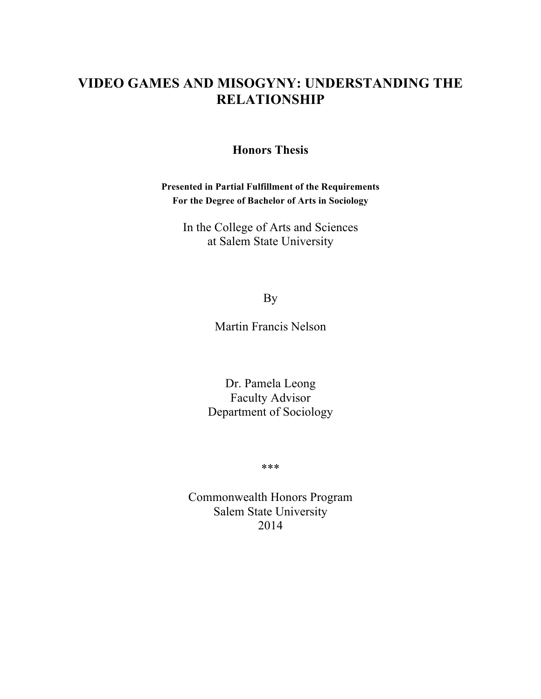# **VIDEO GAMES AND MISOGYNY: UNDERSTANDING THE RELATIONSHIP**

## **Honors Thesis**

**Presented in Partial Fulfillment of the Requirements For the Degree of Bachelor of Arts in Sociology**

In the College of Arts and Sciences at Salem State University

By

Martin Francis Nelson

Dr. Pamela Leong Faculty Advisor Department of Sociology

\*\*\*

Commonwealth Honors Program Salem State University 2014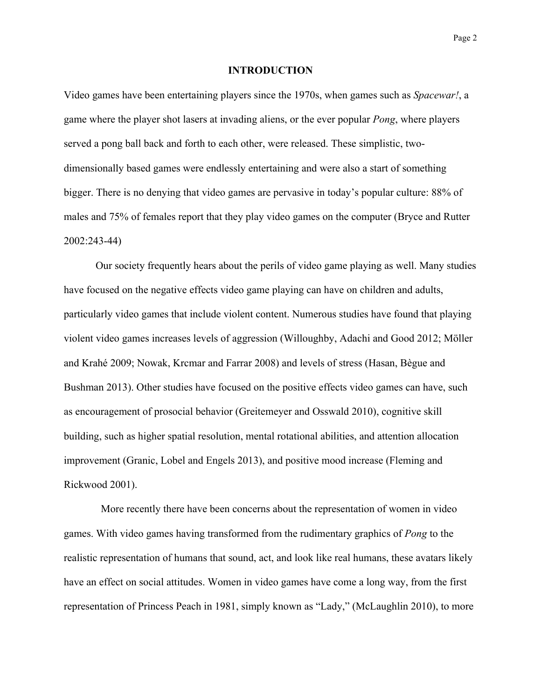## **INTRODUCTION**

Video games have been entertaining players since the 1970s, when games such as *Spacewar!*, a game where the player shot lasers at invading aliens, or the ever popular *Pong*, where players served a pong ball back and forth to each other, were released. These simplistic, twodimensionally based games were endlessly entertaining and were also a start of something bigger. There is no denying that video games are pervasive in today's popular culture: 88% of males and 75% of females report that they play video games on the computer (Bryce and Rutter 2002:243-44)

Our society frequently hears about the perils of video game playing as well. Many studies have focused on the negative effects video game playing can have on children and adults, particularly video games that include violent content. Numerous studies have found that playing violent video games increases levels of aggression (Willoughby, Adachi and Good 2012; Möller and Krahé 2009; Nowak, Krcmar and Farrar 2008) and levels of stress (Hasan, Bègue and Bushman 2013). Other studies have focused on the positive effects video games can have, such as encouragement of prosocial behavior (Greitemeyer and Osswald 2010), cognitive skill building, such as higher spatial resolution, mental rotational abilities, and attention allocation improvement (Granic, Lobel and Engels 2013), and positive mood increase (Fleming and Rickwood 2001).

More recently there have been concerns about the representation of women in video games. With video games having transformed from the rudimentary graphics of *Pong* to the realistic representation of humans that sound, act, and look like real humans, these avatars likely have an effect on social attitudes. Women in video games have come a long way, from the first representation of Princess Peach in 1981, simply known as "Lady," (McLaughlin 2010), to more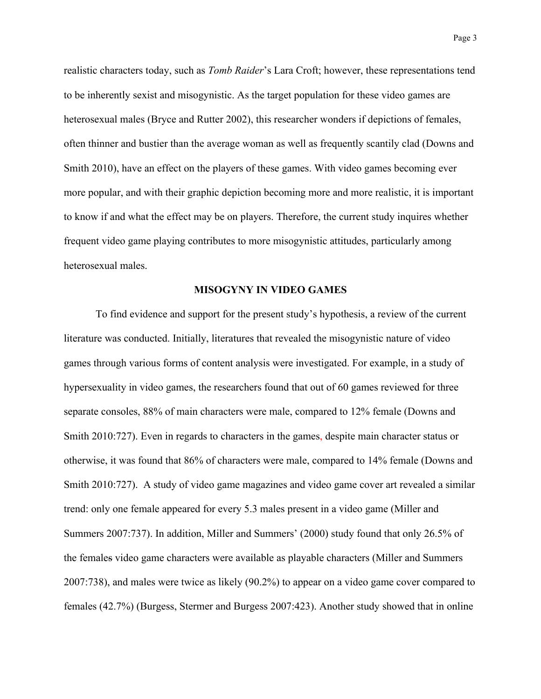realistic characters today, such as *Tomb Raider*'s Lara Croft; however, these representations tend to be inherently sexist and misogynistic. As the target population for these video games are heterosexual males (Bryce and Rutter 2002), this researcher wonders if depictions of females, often thinner and bustier than the average woman as well as frequently scantily clad (Downs and Smith 2010), have an effect on the players of these games. With video games becoming ever more popular, and with their graphic depiction becoming more and more realistic, it is important to know if and what the effect may be on players. Therefore, the current study inquires whether frequent video game playing contributes to more misogynistic attitudes, particularly among heterosexual males.

## **MISOGYNY IN VIDEO GAMES**

To find evidence and support for the present study's hypothesis, a review of the current literature was conducted. Initially, literatures that revealed the misogynistic nature of video games through various forms of content analysis were investigated. For example, in a study of hypersexuality in video games, the researchers found that out of 60 games reviewed for three separate consoles, 88% of main characters were male, compared to 12% female (Downs and Smith 2010:727). Even in regards to characters in the games, despite main character status or otherwise, it was found that 86% of characters were male, compared to 14% female (Downs and Smith 2010:727). A study of video game magazines and video game cover art revealed a similar trend: only one female appeared for every 5.3 males present in a video game (Miller and Summers 2007:737). In addition, Miller and Summers' (2000) study found that only 26.5% of the females video game characters were available as playable characters (Miller and Summers 2007:738), and males were twice as likely (90.2%) to appear on a video game cover compared to females (42.7%) (Burgess, Stermer and Burgess 2007:423). Another study showed that in online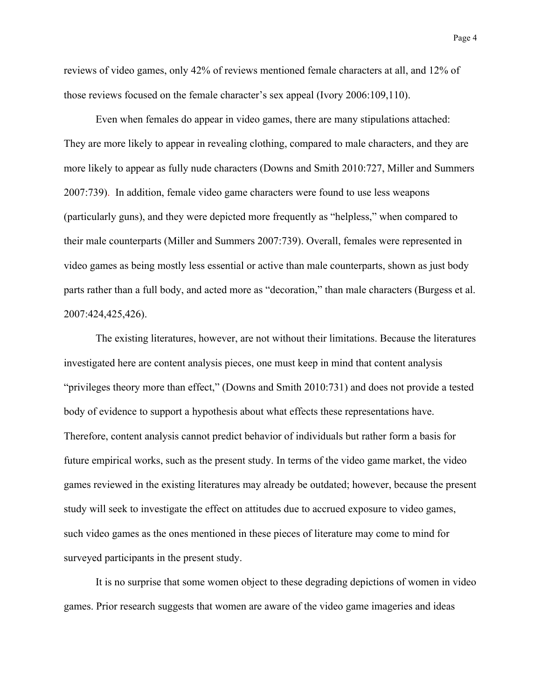reviews of video games, only 42% of reviews mentioned female characters at all, and 12% of those reviews focused on the female character's sex appeal (Ivory 2006:109,110).

Even when females do appear in video games, there are many stipulations attached: They are more likely to appear in revealing clothing, compared to male characters, and they are more likely to appear as fully nude characters (Downs and Smith 2010:727, Miller and Summers 2007:739). In addition, female video game characters were found to use less weapons (particularly guns), and they were depicted more frequently as "helpless," when compared to their male counterparts (Miller and Summers 2007:739). Overall, females were represented in video games as being mostly less essential or active than male counterparts, shown as just body parts rather than a full body, and acted more as "decoration," than male characters (Burgess et al. 2007:424,425,426).

The existing literatures, however, are not without their limitations. Because the literatures investigated here are content analysis pieces, one must keep in mind that content analysis "privileges theory more than effect," (Downs and Smith 2010:731) and does not provide a tested body of evidence to support a hypothesis about what effects these representations have. Therefore, content analysis cannot predict behavior of individuals but rather form a basis for future empirical works, such as the present study. In terms of the video game market, the video games reviewed in the existing literatures may already be outdated; however, because the present study will seek to investigate the effect on attitudes due to accrued exposure to video games, such video games as the ones mentioned in these pieces of literature may come to mind for surveyed participants in the present study.

It is no surprise that some women object to these degrading depictions of women in video games. Prior research suggests that women are aware of the video game imageries and ideas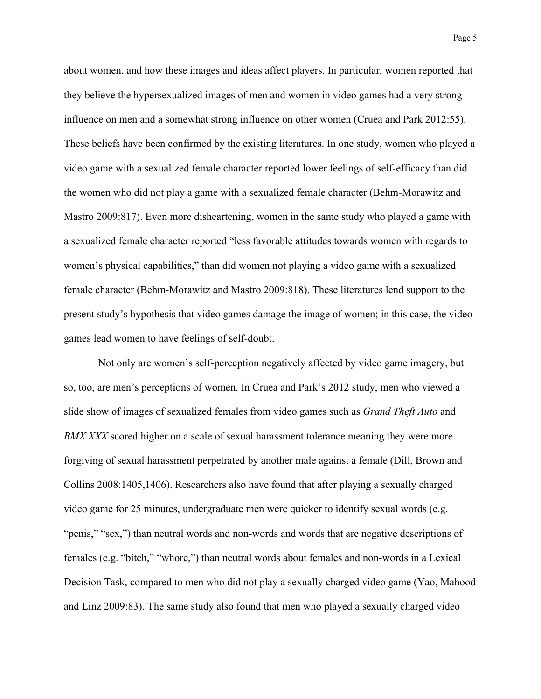about women, and how these images and ideas affect players. In particular, women reported that they believe the hypersexualized images of men and women in video games had a very strong influence on men and a somewhat strong influence on other women (Cruea and Park 2012:55). These beliefs have been confirmed by the existing literatures. In one study, women who played a video game with a sexualized female character reported lower feelings of self-efficacy than did the women who did not play a game with a sexualized female character (Behm-Morawitz and Mastro 2009:817). Even more disheartening, women in the same study who played a game with a sexualized female character reported "less favorable attitudes towards women with regards to women's physical capabilities," than did women not playing a video game with a sexualized female character (Behm-Morawitz and Mastro 2009:818). These literatures lend support to the present study's hypothesis that video games damage the image of women; in this case, the video games lead women to have feelings of self-doubt.

Not only are women's self-perception negatively affected by video game imagery, but so, too, are men's perceptions of women. In Cruea and Park's 2012 study, men who viewed a slide show of images of sexualized females from video games such as *Grand Theft Auto* and *BMX XXX* scored higher on a scale of sexual harassment tolerance meaning they were more forgiving of sexual harassment perpetrated by another male against a female (Dill, Brown and Collins 2008:1405,1406). Researchers also have found that after playing a sexually charged video game for 25 minutes, undergraduate men were quicker to identify sexual words (e.g. "penis," "sex,") than neutral words and non-words and words that are negative descriptions of females (e.g. "bitch," "whore,") than neutral words about females and non-words in a Lexical Decision Task, compared to men who did not play a sexually charged video game (Yao, Mahood and Linz 2009:83). The same study also found that men who played a sexually charged video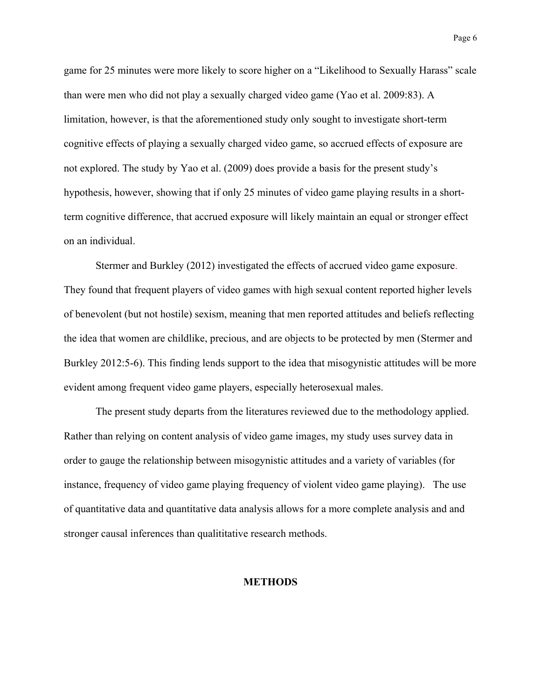Page 6

game for 25 minutes were more likely to score higher on a "Likelihood to Sexually Harass" scale than were men who did not play a sexually charged video game (Yao et al. 2009:83). A limitation, however, is that the aforementioned study only sought to investigate short-term cognitive effects of playing a sexually charged video game, so accrued effects of exposure are not explored. The study by Yao et al. (2009) does provide a basis for the present study's hypothesis, however, showing that if only 25 minutes of video game playing results in a shortterm cognitive difference, that accrued exposure will likely maintain an equal or stronger effect on an individual.

Stermer and Burkley (2012) investigated the effects of accrued video game exposure. They found that frequent players of video games with high sexual content reported higher levels of benevolent (but not hostile) sexism, meaning that men reported attitudes and beliefs reflecting the idea that women are childlike, precious, and are objects to be protected by men (Stermer and Burkley 2012:5-6). This finding lends support to the idea that misogynistic attitudes will be more evident among frequent video game players, especially heterosexual males.

The present study departs from the literatures reviewed due to the methodology applied. Rather than relying on content analysis of video game images, my study uses survey data in order to gauge the relationship between misogynistic attitudes and a variety of variables (for instance, frequency of video game playing frequency of violent video game playing). The use of quantitative data and quantitative data analysis allows for a more complete analysis and and stronger causal inferences than qualititative research methods.

## **METHODS**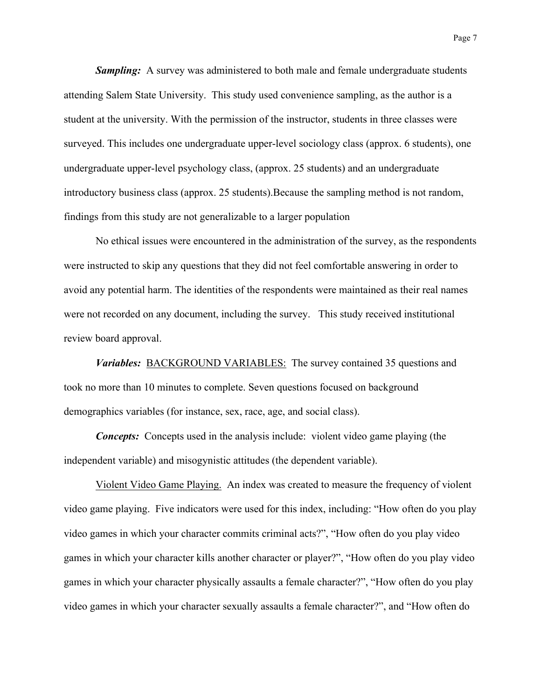**Sampling:** A survey was administered to both male and female undergraduate students attending Salem State University. This study used convenience sampling, as the author is a student at the university. With the permission of the instructor, students in three classes were surveyed. This includes one undergraduate upper-level sociology class (approx. 6 students), one undergraduate upper-level psychology class, (approx. 25 students) and an undergraduate introductory business class (approx. 25 students).Because the sampling method is not random, findings from this study are not generalizable to a larger population

No ethical issues were encountered in the administration of the survey, as the respondents were instructed to skip any questions that they did not feel comfortable answering in order to avoid any potential harm. The identities of the respondents were maintained as their real names were not recorded on any document, including the survey. This study received institutional review board approval.

*Variables:* BACKGROUND VARIABLES: The survey contained 35 questions and took no more than 10 minutes to complete. Seven questions focused on background demographics variables (for instance, sex, race, age, and social class).

*Concepts:* Concepts used in the analysis include: violent video game playing (the independent variable) and misogynistic attitudes (the dependent variable).

Violent Video Game Playing. An index was created to measure the frequency of violent video game playing. Five indicators were used for this index, including: "How often do you play video games in which your character commits criminal acts?", "How often do you play video games in which your character kills another character or player?", "How often do you play video games in which your character physically assaults a female character?", "How often do you play video games in which your character sexually assaults a female character?", and "How often do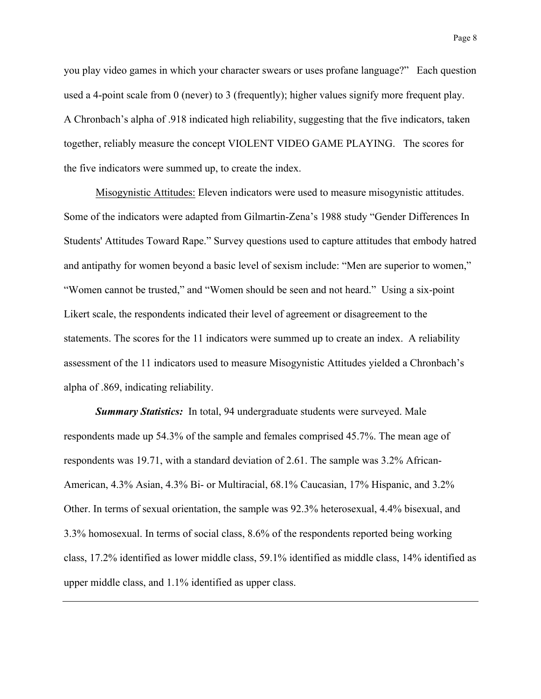you play video games in which your character swears or uses profane language?" Each question used a 4-point scale from 0 (never) to 3 (frequently); higher values signify more frequent play. A Chronbach's alpha of .918 indicated high reliability, suggesting that the five indicators, taken together, reliably measure the concept VIOLENT VIDEO GAME PLAYING. The scores for the five indicators were summed up, to create the index.

Misogynistic Attitudes: Eleven indicators were used to measure misogynistic attitudes. Some of the indicators were adapted from Gilmartin-Zena's 1988 study "Gender Differences In Students' Attitudes Toward Rape." Survey questions used to capture attitudes that embody hatred and antipathy for women beyond a basic level of sexism include: "Men are superior to women," "Women cannot be trusted," and "Women should be seen and not heard." Using a six-point Likert scale, the respondents indicated their level of agreement or disagreement to the statements. The scores for the 11 indicators were summed up to create an index. A reliability assessment of the 11 indicators used to measure Misogynistic Attitudes yielded a Chronbach's alpha of .869, indicating reliability.

*Summary Statistics:* In total, 94 undergraduate students were surveyed. Male respondents made up 54.3% of the sample and females comprised 45.7%. The mean age of respondents was 19.71, with a standard deviation of 2.61. The sample was 3.2% African-American, 4.3% Asian, 4.3% Bi- or Multiracial, 68.1% Caucasian, 17% Hispanic, and 3.2% Other. In terms of sexual orientation, the sample was 92.3% heterosexual, 4.4% bisexual, and 3.3% homosexual. In terms of social class, 8.6% of the respondents reported being working class, 17.2% identified as lower middle class, 59.1% identified as middle class, 14% identified as upper middle class, and 1.1% identified as upper class.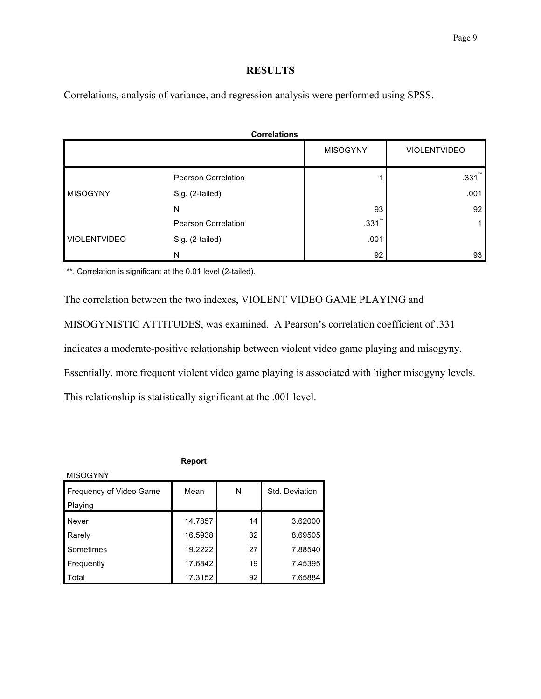## **RESULTS**

Correlations, analysis of variance, and regression analysis were performed using SPSS.

| <b>Correlations</b> |                     |                 |                      |  |  |
|---------------------|---------------------|-----------------|----------------------|--|--|
|                     |                     | <b>MISOGYNY</b> | <b>VIOLENTVIDEO</b>  |  |  |
|                     | Pearson Correlation |                 | $.331$ <sup>**</sup> |  |  |
| <b>MISOGYNY</b>     | Sig. (2-tailed)     |                 | .001                 |  |  |
|                     | N                   | 93              | 92                   |  |  |
| <b>VIOLENTVIDEO</b> | Pearson Correlation | $.331$ **       |                      |  |  |
|                     | Sig. (2-tailed)     | .001            |                      |  |  |
|                     | N                   | 92              | 93                   |  |  |

\*\*. Correlation is significant at the 0.01 level (2-tailed).

The correlation between the two indexes, VIOLENT VIDEO GAME PLAYING and MISOGYNISTIC ATTITUDES, was examined. A Pearson's correlation coefficient of .331 indicates a moderate-positive relationship between violent video game playing and misogyny. Essentially, more frequent violent video game playing is associated with higher misogyny levels. This relationship is statistically significant at the .001 level.

**Report**

| <b>MISOGYNY</b>                    |         |    |                |  |  |  |  |
|------------------------------------|---------|----|----------------|--|--|--|--|
| Frequency of Video Game<br>Playing | Mean    | N  | Std. Deviation |  |  |  |  |
| Never                              | 14.7857 | 14 | 3.62000        |  |  |  |  |
| Rarely                             | 16.5938 | 32 | 8.69505        |  |  |  |  |
| Sometimes                          | 19.2222 | 27 | 7.88540        |  |  |  |  |
| Frequently                         | 17.6842 | 19 | 7.45395        |  |  |  |  |
| Total                              | 17.3152 | 92 | 7.65884        |  |  |  |  |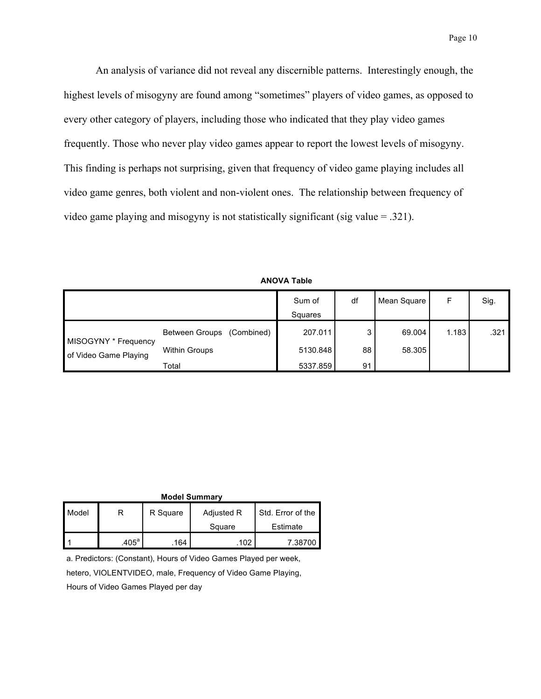An analysis of variance did not reveal any discernible patterns. Interestingly enough, the highest levels of misogyny are found among "sometimes" players of video games, as opposed to every other category of players, including those who indicated that they play video games frequently. Those who never play video games appear to report the lowest levels of misogyny. This finding is perhaps not surprising, given that frequency of video game playing includes all video game genres, both violent and non-violent ones. The relationship between frequency of video game playing and misogyny is not statistically significant (sig value = .321).

|                                               |                              | Sum of<br>Squares | df | Mean Square | F     | Sig. |
|-----------------------------------------------|------------------------------|-------------------|----|-------------|-------|------|
| MISOGYNY * Frequency<br>of Video Game Playing | Between Groups<br>(Combined) | 207.011           | 3  | 69.004      | 1.183 | .321 |
|                                               | <b>Within Groups</b>         | 5130.848          | 88 | 58.305      |       |      |
|                                               | Total                        | 5337.859          | 91 |             |       |      |

| <b>ANOVA Table</b> |  |  |
|--------------------|--|--|
|--------------------|--|--|

| <b>Model Summary</b> |                   |          |            |                   |  |  |
|----------------------|-------------------|----------|------------|-------------------|--|--|
| Model                |                   | R Square | Adjusted R | Std. Error of the |  |  |
|                      |                   |          | Square     | Estimate          |  |  |
|                      | .405 <sup>a</sup> | .164     | .102       | 7.38700           |  |  |

a. Predictors: (Constant), Hours of Video Games Played per week,

hetero, VIOLENTVIDEO, male, Frequency of Video Game Playing,

Hours of Video Games Played per day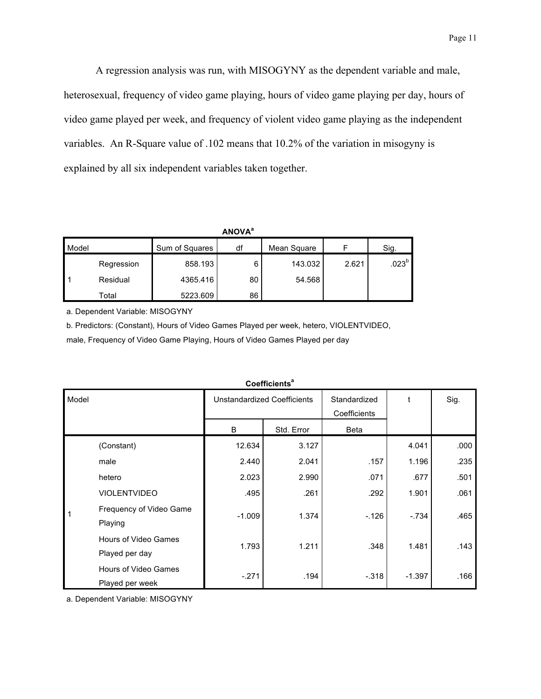A regression analysis was run, with MISOGYNY as the dependent variable and male, heterosexual, frequency of video game playing, hours of video game playing per day, hours of video game played per week, and frequency of violent video game playing as the independent variables. An R-Square value of .102 means that 10.2% of the variation in misogyny is explained by all six independent variables taken together.

| v.<br>ιNΙ<br>Δ<br>O<br>ï |  |
|--------------------------|--|
|--------------------------|--|

| Model |            | Sum of Squares | df | Mean Square |       | Sig.     |
|-------|------------|----------------|----|-------------|-------|----------|
|       | Regression | 858.193        | 6  | 143.032     | 2.621 | $.023^b$ |
|       | Residual   | 4365.416       | 80 | 54.568      |       |          |
|       | Total      | 5223.609       | 86 |             |       |          |

a. Dependent Variable: MISOGYNY

b. Predictors: (Constant), Hours of Video Games Played per week, hetero, VIOLENTVIDEO,

male, Frequency of Video Game Playing, Hours of Video Games Played per day

|       | Coenicients                             |                                    |            |                              |          |      |  |  |
|-------|-----------------------------------------|------------------------------------|------------|------------------------------|----------|------|--|--|
| Model |                                         | <b>Unstandardized Coefficients</b> |            | Standardized<br>Coefficients | t        | Sig. |  |  |
|       |                                         | B                                  | Std. Error | <b>Beta</b>                  |          |      |  |  |
|       | (Constant)                              | 12.634                             | 3.127      |                              | 4.041    | .000 |  |  |
|       | male                                    | 2.440                              | 2.041      | .157                         | 1.196    | .235 |  |  |
|       | hetero                                  | 2.023                              | 2.990      | .071                         | .677     | .501 |  |  |
|       | <b>VIOLENTVIDEO</b>                     | .495                               | .261       | .292                         | 1.901    | .061 |  |  |
| 1     | Frequency of Video Game<br>Playing      | $-1.009$                           | 1.374      | $-126$                       | $-.734$  | .465 |  |  |
|       | Hours of Video Games<br>Played per day  | 1.793                              | 1.211      | .348                         | 1.481    | .143 |  |  |
|       | Hours of Video Games<br>Played per week | $-.271$                            | .194       | $-.318$                      | $-1.397$ | .166 |  |  |

**Coefficients<sup>a</sup>**

a. Dependent Variable: MISOGYNY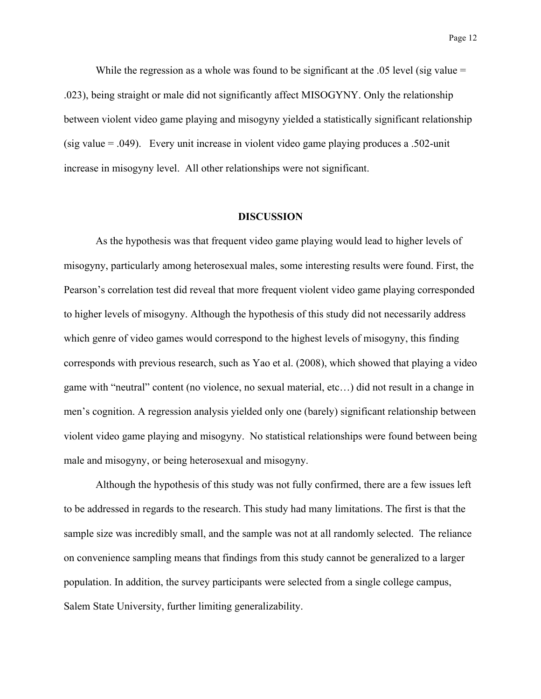While the regression as a whole was found to be significant at the .05 level (sig value = .023), being straight or male did not significantly affect MISOGYNY. Only the relationship between violent video game playing and misogyny yielded a statistically significant relationship (sig value = .049). Every unit increase in violent video game playing produces a .502-unit increase in misogyny level. All other relationships were not significant.

#### **DISCUSSION**

As the hypothesis was that frequent video game playing would lead to higher levels of misogyny, particularly among heterosexual males, some interesting results were found. First, the Pearson's correlation test did reveal that more frequent violent video game playing corresponded to higher levels of misogyny. Although the hypothesis of this study did not necessarily address which genre of video games would correspond to the highest levels of misogyny, this finding corresponds with previous research, such as Yao et al. (2008), which showed that playing a video game with "neutral" content (no violence, no sexual material, etc…) did not result in a change in men's cognition. A regression analysis yielded only one (barely) significant relationship between violent video game playing and misogyny. No statistical relationships were found between being male and misogyny, or being heterosexual and misogyny.

Although the hypothesis of this study was not fully confirmed, there are a few issues left to be addressed in regards to the research. This study had many limitations. The first is that the sample size was incredibly small, and the sample was not at all randomly selected. The reliance on convenience sampling means that findings from this study cannot be generalized to a larger population. In addition, the survey participants were selected from a single college campus, Salem State University, further limiting generalizability.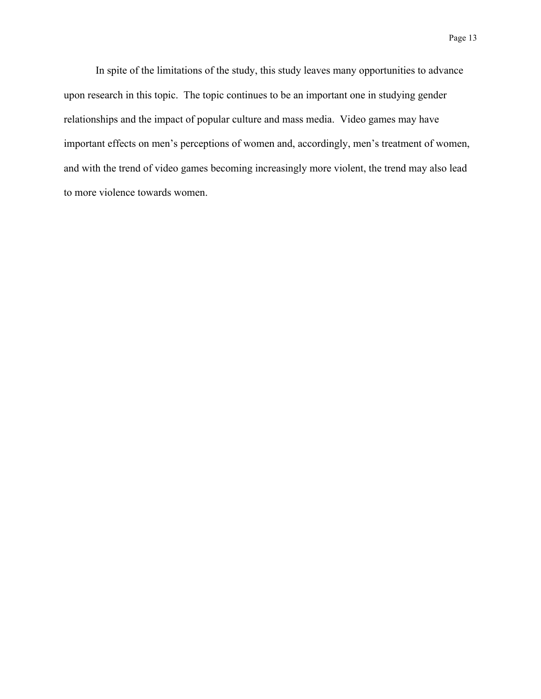In spite of the limitations of the study, this study leaves many opportunities to advance upon research in this topic. The topic continues to be an important one in studying gender relationships and the impact of popular culture and mass media. Video games may have important effects on men's perceptions of women and, accordingly, men's treatment of women, and with the trend of video games becoming increasingly more violent, the trend may also lead to more violence towards women.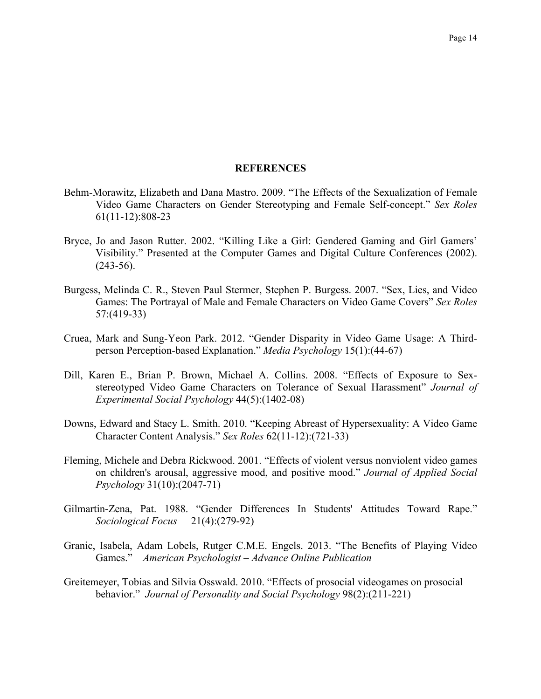#### **REFERENCES**

- Behm-Morawitz, Elizabeth and Dana Mastro. 2009. "The Effects of the Sexualization of Female Video Game Characters on Gender Stereotyping and Female Self-concept." *Sex Roles* 61(11-12):808-23
- Bryce, Jo and Jason Rutter. 2002. "Killing Like a Girl: Gendered Gaming and Girl Gamers' Visibility." Presented at the Computer Games and Digital Culture Conferences (2002).  $(243-56)$ .
- Burgess, Melinda C. R., Steven Paul Stermer, Stephen P. Burgess. 2007. "Sex, Lies, and Video Games: The Portrayal of Male and Female Characters on Video Game Covers" *Sex Roles* 57:(419-33)
- Cruea, Mark and Sung-Yeon Park. 2012. "Gender Disparity in Video Game Usage: A Thirdperson Perception-based Explanation." *Media Psychology* 15(1):(44-67)
- Dill, Karen E., Brian P. Brown, Michael A. Collins. 2008. "Effects of Exposure to Sexstereotyped Video Game Characters on Tolerance of Sexual Harassment" *Journal of Experimental Social Psychology* 44(5):(1402-08)
- Downs, Edward and Stacy L. Smith. 2010. "Keeping Abreast of Hypersexuality: A Video Game Character Content Analysis." *Sex Roles* 62(11-12):(721-33)
- Fleming, Michele and Debra Rickwood. 2001. "Effects of violent versus nonviolent video games on children's arousal, aggressive mood, and positive mood." *Journal of Applied Social Psychology* 31(10):(2047-71)
- Gilmartin-Zena, Pat. 1988. "Gender Differences In Students' Attitudes Toward Rape." *Sociological Focus* 21(4):(279-92)
- Granic, Isabela, Adam Lobels, Rutger C.M.E. Engels. 2013. "The Benefits of Playing Video Games." *American Psychologist – Advance Online Publication*
- Greitemeyer, Tobias and Silvia Osswald. 2010. "Effects of prosocial videogames on prosocial behavior." *Journal of Personality and Social Psychology* 98(2):(211-221)